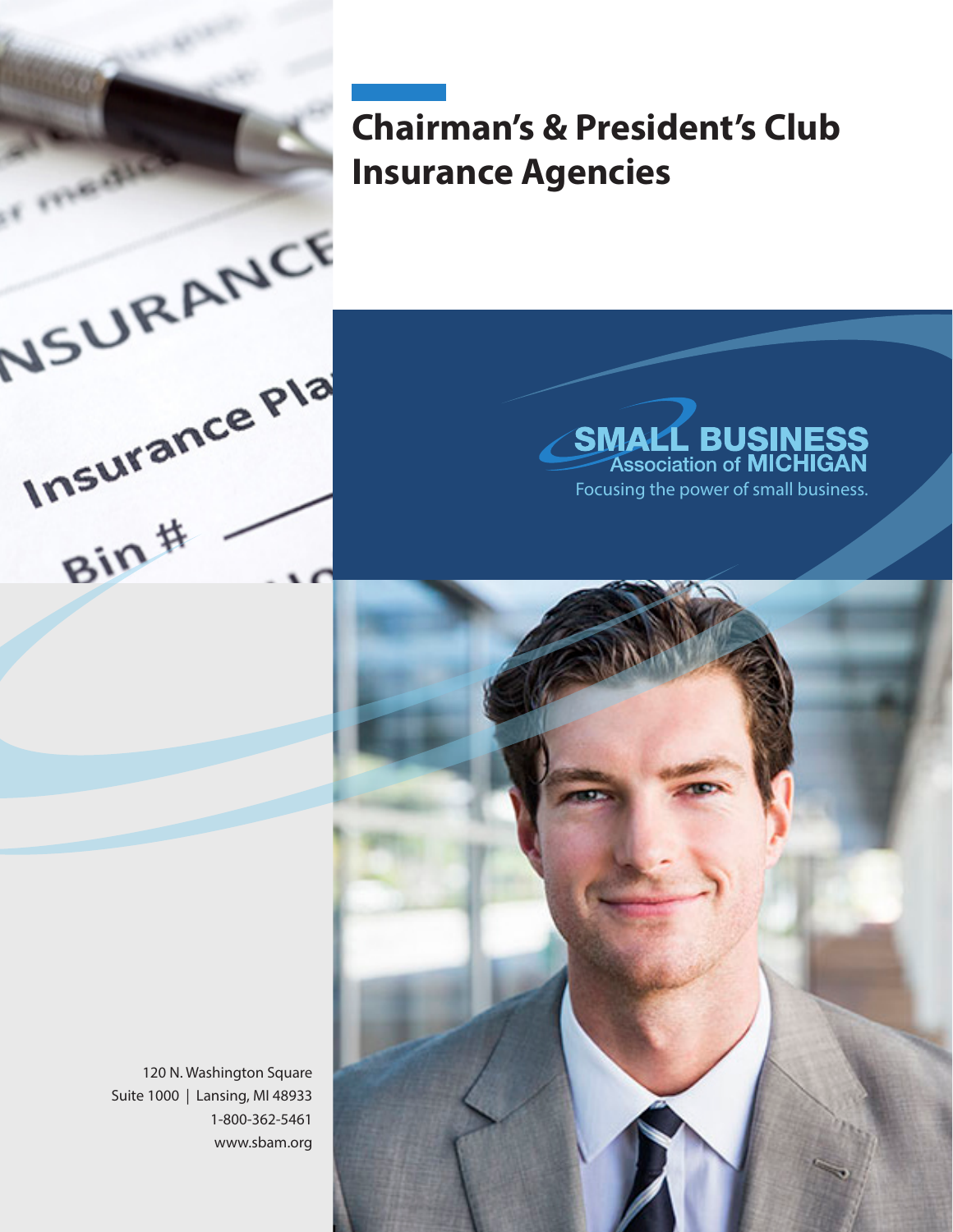# **Chairman's & President's Club Insurance Agencies**

## **SMALL BUSINESS**<br>Association of MICHIGAN Focusing the power of small business.

120 N. Washington Square Suite 1000 | Lansing, MI 48933 1-800-362-5461 www.sbam.org

NSURANCE

Insurance Pla

nsure<br>Bin#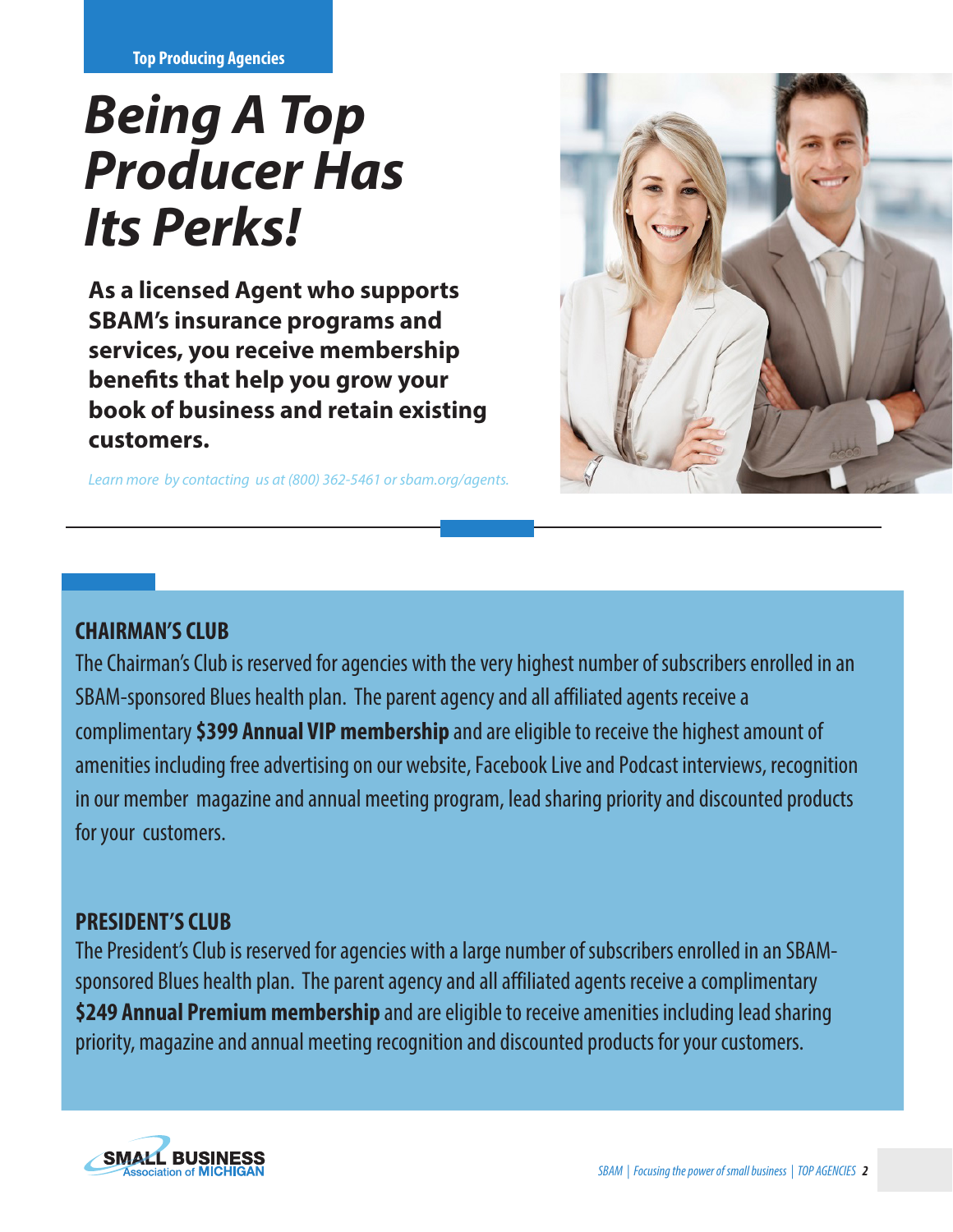**Top Producing Agencies**

# *Being A Top Producer Has Its Perks!*

**As a licensed Agent who supports SBAM's insurance programs and services, you receive membership benefits that help you grow your book of business and retain existing customers.**

*Learn more by contacting us at (800) 362-5461 or sbam.org/agents.* 



#### **CHAIRMAN'S CLUB**

The Chairman's Club is reserved for agencies with the very highest number of subscribers enrolled in an SBAM-sponsored Blues health plan. The parent agency and all affiliated agents receive a complimentary **\$399 Annual VIP membership** and are eligible to receive the highest amount of amenities including free advertising on our website, Facebook Live and Podcast interviews, recognition in our member magazine and annual meeting program, lead sharing priority and discounted products for your customers.

#### **PRESIDENT'S CLUB**

The President's Club is reserved for agencies with a large number of subscribers enrolled in an SBAMsponsored Blues health plan. The parent agency and all affiliated agents receive a complimentary **\$249 Annual Premium membership** and are eligible to receive amenities including lead sharing priority, magazine and annual meeting recognition and discounted products for your customers.

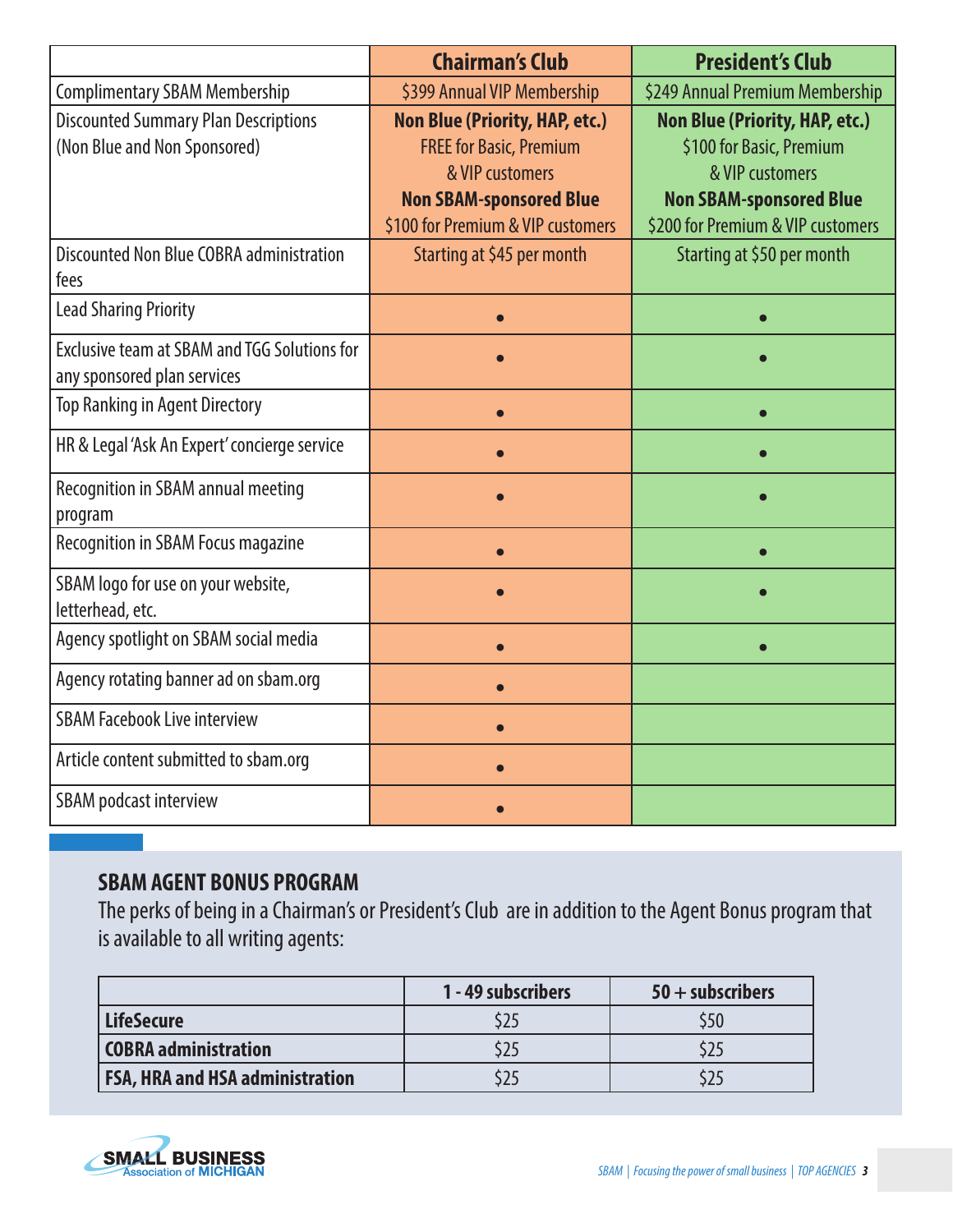|                                                     | <b>Chairman's Club</b>                | <b>President's Club</b>               |
|-----------------------------------------------------|---------------------------------------|---------------------------------------|
| <b>Complimentary SBAM Membership</b>                | \$399 Annual VIP Membership           | \$249 Annual Premium Membership       |
| <b>Discounted Summary Plan Descriptions</b>         | <b>Non Blue (Priority, HAP, etc.)</b> | <b>Non Blue (Priority, HAP, etc.)</b> |
| (Non Blue and Non Sponsored)                        | <b>FREE for Basic, Premium</b>        | \$100 for Basic, Premium              |
|                                                     | & VIP customers                       | & VIP customers                       |
|                                                     | <b>Non SBAM-sponsored Blue</b>        | <b>Non SBAM-sponsored Blue</b>        |
|                                                     | \$100 for Premium & VIP customers     | \$200 for Premium & VIP customers     |
| Discounted Non Blue COBRA administration            | Starting at \$45 per month            | Starting at \$50 per month            |
| fees                                                |                                       |                                       |
| <b>Lead Sharing Priority</b>                        |                                       |                                       |
| <b>Exclusive team at SBAM and TGG Solutions for</b> |                                       |                                       |
| any sponsored plan services                         |                                       |                                       |
| <b>Top Ranking in Agent Directory</b>               |                                       |                                       |
| HR & Legal 'Ask An Expert' concierge service        |                                       |                                       |
| Recognition in SBAM annual meeting                  |                                       |                                       |
| program                                             |                                       |                                       |
| <b>Recognition in SBAM Focus magazine</b>           |                                       |                                       |
| SBAM logo for use on your website,                  |                                       |                                       |
| letterhead, etc.                                    |                                       |                                       |
| Agency spotlight on SBAM social media               |                                       |                                       |
| Agency rotating banner ad on sbam.org               |                                       |                                       |
| <b>SBAM Facebook Live interview</b>                 |                                       |                                       |
| Article content submitted to sbam.org               |                                       |                                       |
| SBAM podcast interview                              |                                       |                                       |

#### **SBAM AGENT BONUS PROGRAM**

The perks of being in a Chairman's or President's Club are in addition to the Agent Bonus program that is available to all writing agents:

|                                        | 1 - 49 subscribers | $50 +$ subscribers |
|----------------------------------------|--------------------|--------------------|
| LifeSecure                             |                    | 550                |
| <b>COBRA administration</b>            |                    |                    |
| <b>FSA, HRA and HSA administration</b> |                    |                    |